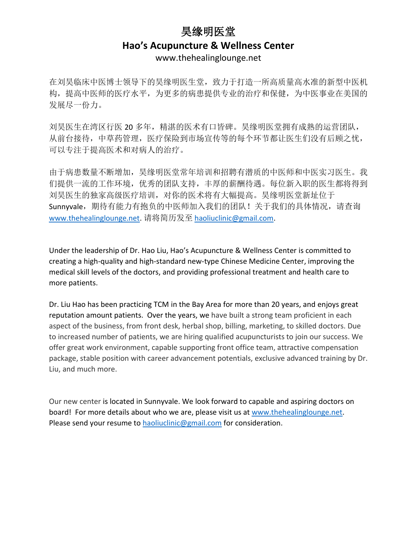## 昊缘明医堂 **Hao's Acupuncture & Wellness Center** www.thehealinglounge.net

在刘昊临床中医博士领导下的昊缘明医生堂,致力于打造一所高质量高水准的新型中医机 构,提高中医师的医疗水平,为更多的病患提供专业的治疗和保健,为中医事业在美国的 发展尽一份力。

刘昊医生在湾区行医 20 多年,精湛的医术有口皆碑。昊缘明医堂拥有成熟的运营团队, 从前台接待,中草药管理,医疗保险到市场宣传等的每个环节都让医生们没有后顾之忧, 可以专注于提高医术和对病人的治疗。

由于病患数量不断增加,昊缘明医堂常年培训和招聘有潜质的中医师和中医实习医生。我 们提供一流的工作环境,优秀的团队支持,丰厚的薪酬待遇。每位新入职的医生都将得到 刘昊医生的独家高级医疗培训,对你的医术将有大幅提高。昊缘明医堂新址位于 Sunnyvale, 期待有能力有抱负的中医师加入我们的团队!关于我们的具体情况, 请查询 [www.thehealinglounge.net.](http://www.thehealinglounge.net/) 请将简历发至 [haoliuclinic@gmail.com.](mailto:haoliuclinic@gmail.com)

Under the leadership of Dr. Hao Liu, Hao's Acupuncture & Wellness Center is committed to creating a high-quality and high-standard new-type Chinese Medicine Center, improving the medical skill levels of the doctors, and providing professional treatment and health care to more patients.

Dr. Liu Hao has been practicing TCM in the Bay Area for more than 20 years, and enjoys great reputation amount patients. Over the years, we have built a strong team proficient in each aspect of the business, from front desk, herbal shop, billing, marketing, to skilled doctors. Due to increased number of patients, we are hiring qualified acupuncturists to join our success. We offer great work environment, capable supporting front office team, attractive compensation package, stable position with career advancement potentials, exclusive advanced training by Dr. Liu, and much more.

Our new center is located in Sunnyvale. We look forward to capable and aspiring doctors on board! For more details about who we are, please visit us at [www.thehealinglounge.net.](http://www.thehealinglounge.net/) Please send your resume to [haoliuclinic@gmail.com](mailto:haoliuclinic@gmail.com) for consideration.